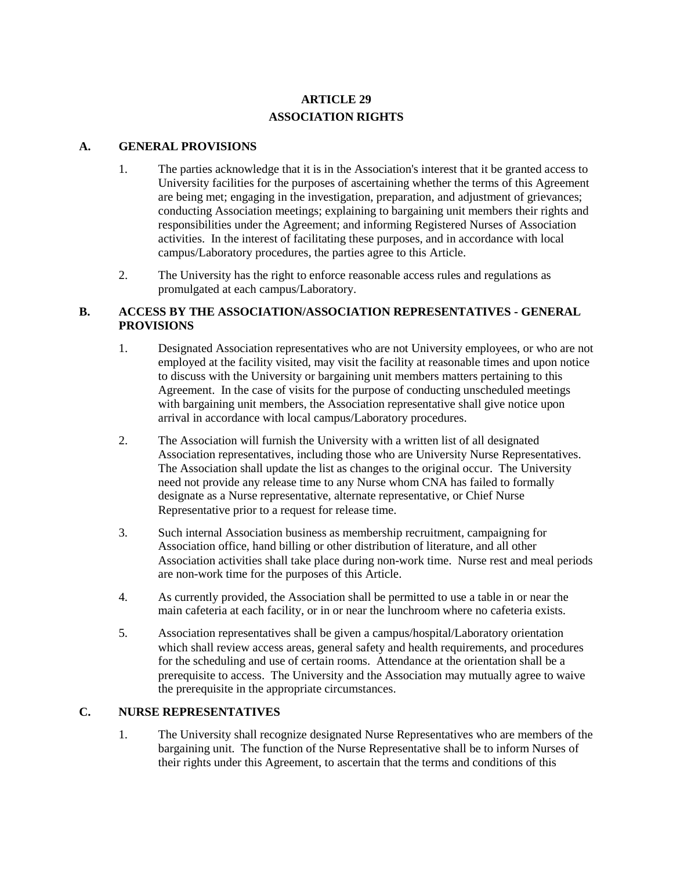# **ARTICLE 29 ASSOCIATION RIGHTS**

## **A. GENERAL PROVISIONS**

- 1. The parties acknowledge that it is in the Association's interest that it be granted access to University facilities for the purposes of ascertaining whether the terms of this Agreement are being met; engaging in the investigation, preparation, and adjustment of grievances; conducting Association meetings; explaining to bargaining unit members their rights and responsibilities under the Agreement; and informing Registered Nurses of Association activities. In the interest of facilitating these purposes, and in accordance with local campus/Laboratory procedures, the parties agree to this Article.
- 2. The University has the right to enforce reasonable access rules and regulations as promulgated at each campus/Laboratory.

# **B. ACCESS BY THE ASSOCIATION/ASSOCIATION REPRESENTATIVES - GENERAL PROVISIONS**

- 1. Designated Association representatives who are not University employees, or who are not employed at the facility visited, may visit the facility at reasonable times and upon notice to discuss with the University or bargaining unit members matters pertaining to this Agreement. In the case of visits for the purpose of conducting unscheduled meetings with bargaining unit members, the Association representative shall give notice upon arrival in accordance with local campus/Laboratory procedures.
- 2. The Association will furnish the University with a written list of all designated Association representatives, including those who are University Nurse Representatives. The Association shall update the list as changes to the original occur. The University need not provide any release time to any Nurse whom CNA has failed to formally designate as a Nurse representative, alternate representative, or Chief Nurse Representative prior to a request for release time.
- 3. Such internal Association business as membership recruitment, campaigning for Association office, hand billing or other distribution of literature, and all other Association activities shall take place during non-work time. Nurse rest and meal periods are non-work time for the purposes of this Article.
- 4. As currently provided, the Association shall be permitted to use a table in or near the main cafeteria at each facility, or in or near the lunchroom where no cafeteria exists.
- 5. Association representatives shall be given a campus/hospital/Laboratory orientation which shall review access areas, general safety and health requirements, and procedures for the scheduling and use of certain rooms. Attendance at the orientation shall be a prerequisite to access. The University and the Association may mutually agree to waive the prerequisite in the appropriate circumstances.

#### **C. NURSE REPRESENTATIVES**

1. The University shall recognize designated Nurse Representatives who are members of the bargaining unit. The function of the Nurse Representative shall be to inform Nurses of their rights under this Agreement, to ascertain that the terms and conditions of this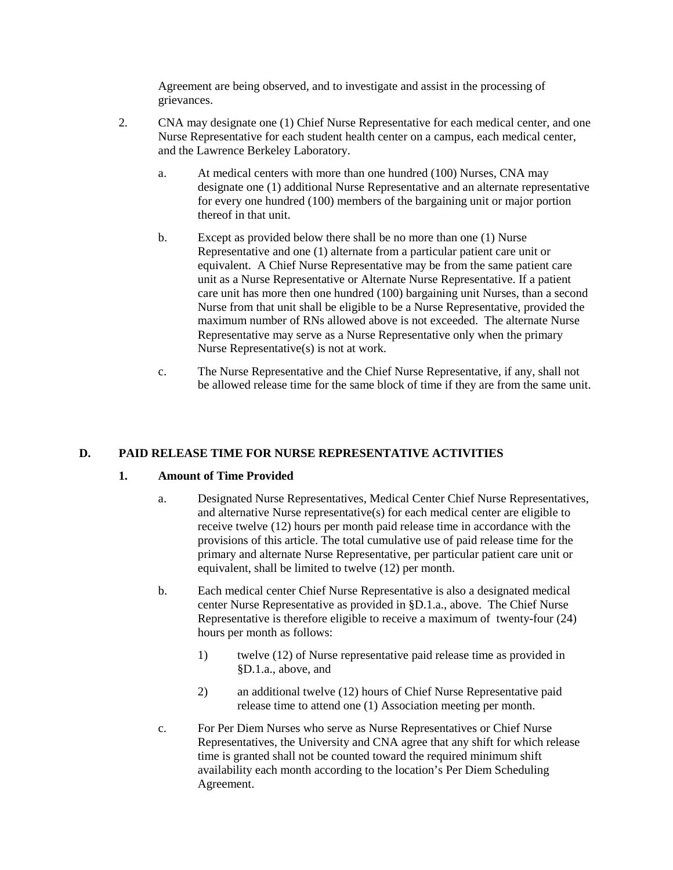Agreement are being observed, and to investigate and assist in the processing of grievances.

- 2. CNA may designate one (1) Chief Nurse Representative for each medical center, and one Nurse Representative for each student health center on a campus, each medical center, and the Lawrence Berkeley Laboratory.
	- a. At medical centers with more than one hundred (100) Nurses, CNA may designate one (1) additional Nurse Representative and an alternate representative for every one hundred (100) members of the bargaining unit or major portion thereof in that unit.
	- b. Except as provided below there shall be no more than one (1) Nurse Representative and one (1) alternate from a particular patient care unit or equivalent. A Chief Nurse Representative may be from the same patient care unit as a Nurse Representative or Alternate Nurse Representative. If a patient care unit has more then one hundred (100) bargaining unit Nurses, than a second Nurse from that unit shall be eligible to be a Nurse Representative, provided the maximum number of RNs allowed above is not exceeded. The alternate Nurse Representative may serve as a Nurse Representative only when the primary Nurse Representative(s) is not at work.
	- c. The Nurse Representative and the Chief Nurse Representative, if any, shall not be allowed release time for the same block of time if they are from the same unit.

# **D. PAID RELEASE TIME FOR NURSE REPRESENTATIVE ACTIVITIES**

#### **1. Amount of Time Provided**

- a. Designated Nurse Representatives, Medical Center Chief Nurse Representatives, and alternative Nurse representative(s) for each medical center are eligible to receive twelve (12) hours per month paid release time in accordance with the provisions of this article. The total cumulative use of paid release time for the primary and alternate Nurse Representative, per particular patient care unit or equivalent, shall be limited to twelve (12) per month.
- b. Each medical center Chief Nurse Representative is also a designated medical center Nurse Representative as provided in §D.1.a., above. The Chief Nurse Representative is therefore eligible to receive a maximum of twenty-four (24) hours per month as follows:
	- 1) twelve (12) of Nurse representative paid release time as provided in §D.1.a., above, and
	- 2) an additional twelve (12) hours of Chief Nurse Representative paid release time to attend one (1) Association meeting per month.
- c. For Per Diem Nurses who serve as Nurse Representatives or Chief Nurse Representatives, the University and CNA agree that any shift for which release time is granted shall not be counted toward the required minimum shift availability each month according to the location's Per Diem Scheduling Agreement.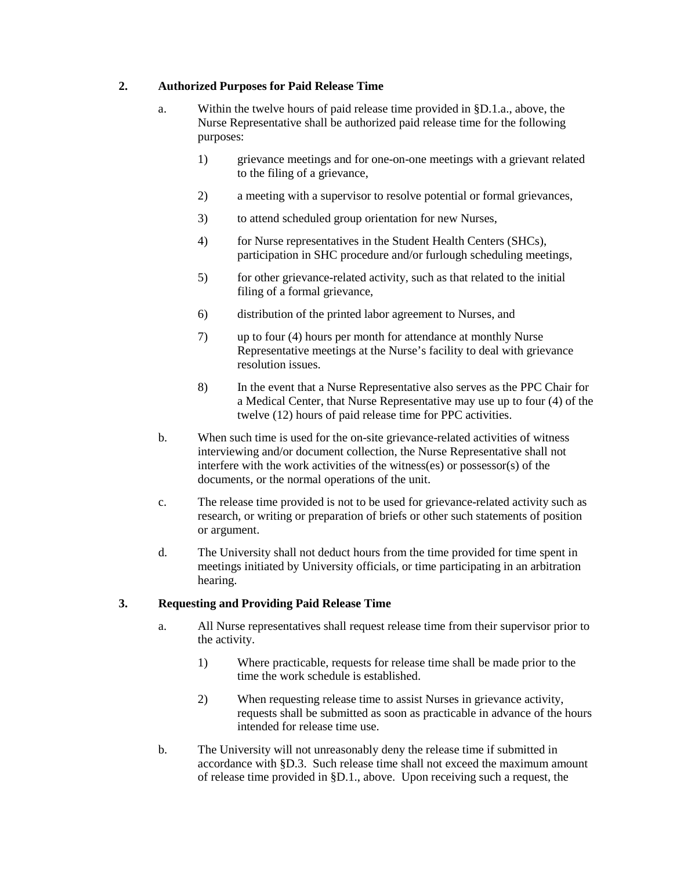## **2. Authorized Purposes for Paid Release Time**

- a. Within the twelve hours of paid release time provided in §D.1.a., above, the Nurse Representative shall be authorized paid release time for the following purposes:
	- 1) grievance meetings and for one-on-one meetings with a grievant related to the filing of a grievance,
	- 2) a meeting with a supervisor to resolve potential or formal grievances,
	- 3) to attend scheduled group orientation for new Nurses,
	- 4) for Nurse representatives in the Student Health Centers (SHCs), participation in SHC procedure and/or furlough scheduling meetings,
	- 5) for other grievance-related activity, such as that related to the initial filing of a formal grievance,
	- 6) distribution of the printed labor agreement to Nurses, and
	- 7) up to four (4) hours per month for attendance at monthly Nurse Representative meetings at the Nurse's facility to deal with grievance resolution issues.
	- 8) In the event that a Nurse Representative also serves as the PPC Chair for a Medical Center, that Nurse Representative may use up to four (4) of the twelve (12) hours of paid release time for PPC activities.
- b. When such time is used for the on-site grievance-related activities of witness interviewing and/or document collection, the Nurse Representative shall not interfere with the work activities of the witness(es) or possessor(s) of the documents, or the normal operations of the unit.
- c. The release time provided is not to be used for grievance-related activity such as research, or writing or preparation of briefs or other such statements of position or argument.
- d. The University shall not deduct hours from the time provided for time spent in meetings initiated by University officials, or time participating in an arbitration hearing.

# **3. Requesting and Providing Paid Release Time**

- a. All Nurse representatives shall request release time from their supervisor prior to the activity.
	- 1) Where practicable, requests for release time shall be made prior to the time the work schedule is established.
	- 2) When requesting release time to assist Nurses in grievance activity, requests shall be submitted as soon as practicable in advance of the hours intended for release time use.
- b. The University will not unreasonably deny the release time if submitted in accordance with §D.3. Such release time shall not exceed the maximum amount of release time provided in §D.1., above. Upon receiving such a request, the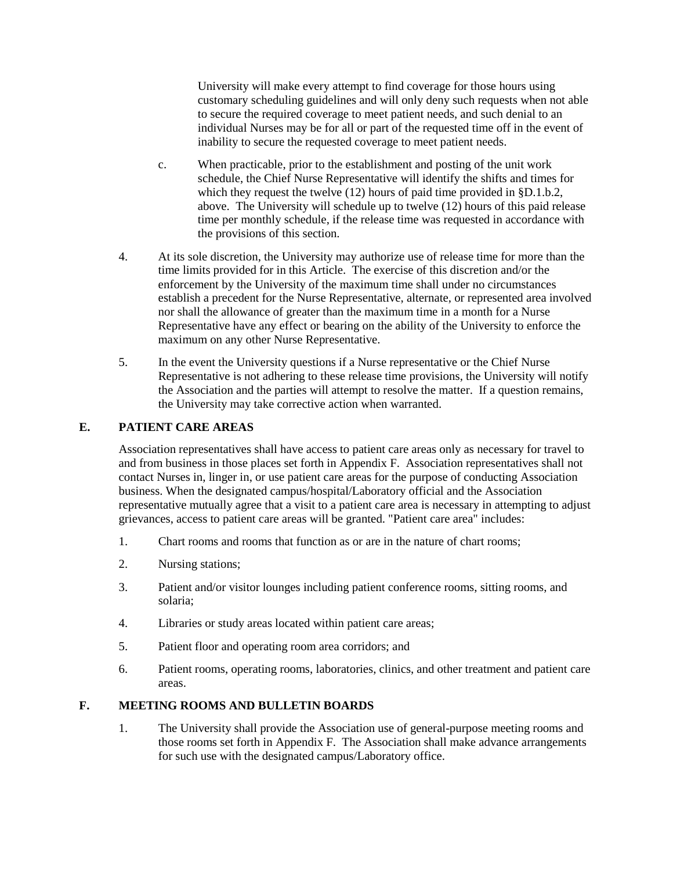University will make every attempt to find coverage for those hours using customary scheduling guidelines and will only deny such requests when not able to secure the required coverage to meet patient needs, and such denial to an individual Nurses may be for all or part of the requested time off in the event of inability to secure the requested coverage to meet patient needs.

- c. When practicable, prior to the establishment and posting of the unit work schedule, the Chief Nurse Representative will identify the shifts and times for which they request the twelve (12) hours of paid time provided in §D.1.b.2, above. The University will schedule up to twelve (12) hours of this paid release time per monthly schedule, if the release time was requested in accordance with the provisions of this section.
- 4. At its sole discretion, the University may authorize use of release time for more than the time limits provided for in this Article. The exercise of this discretion and/or the enforcement by the University of the maximum time shall under no circumstances establish a precedent for the Nurse Representative, alternate, or represented area involved nor shall the allowance of greater than the maximum time in a month for a Nurse Representative have any effect or bearing on the ability of the University to enforce the maximum on any other Nurse Representative.
- 5. In the event the University questions if a Nurse representative or the Chief Nurse Representative is not adhering to these release time provisions, the University will notify the Association and the parties will attempt to resolve the matter. If a question remains, the University may take corrective action when warranted.

## **E. PATIENT CARE AREAS**

Association representatives shall have access to patient care areas only as necessary for travel to and from business in those places set forth in Appendix F. Association representatives shall not contact Nurses in, linger in, or use patient care areas for the purpose of conducting Association business. When the designated campus/hospital/Laboratory official and the Association representative mutually agree that a visit to a patient care area is necessary in attempting to adjust grievances, access to patient care areas will be granted. "Patient care area" includes:

- 1. Chart rooms and rooms that function as or are in the nature of chart rooms;
- 2. Nursing stations;
- 3. Patient and/or visitor lounges including patient conference rooms, sitting rooms, and solaria;
- 4. Libraries or study areas located within patient care areas;
- 5. Patient floor and operating room area corridors; and
- 6. Patient rooms, operating rooms, laboratories, clinics, and other treatment and patient care areas.

## **F. MEETING ROOMS AND BULLETIN BOARDS**

1. The University shall provide the Association use of general-purpose meeting rooms and those rooms set forth in Appendix F. The Association shall make advance arrangements for such use with the designated campus/Laboratory office.